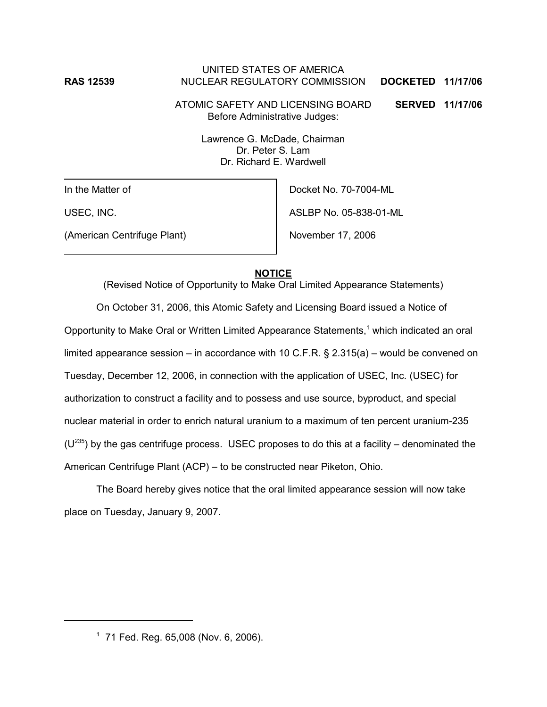## UNITED STATES OF AMERICA **RAS 12539** NUCLEAR REGULATORY COMMISSION **DOCKETED 11/17/06**

ATOMIC SAFETY AND LICENSING BOARD **SERVED 11/17/06** Before Administrative Judges:

Lawrence G. McDade, Chairman Dr. Peter S. Lam Dr. Richard E. Wardwell

In the Matter of

USEC, INC.

(American Centrifuge Plant)

Docket No. 70-7004-ML ASLBP No. 05-838-01-ML

November 17, 2006

## **NOTICE**

(Revised Notice of Opportunity to Make Oral Limited Appearance Statements)

On October 31, 2006, this Atomic Safety and Licensing Board issued a Notice of Opportunity to Make Oral or Written Limited Appearance Statements,<sup>1</sup> which indicated an oral limited appearance session – in accordance with 10 C.F.R.  $\S$  2.315(a) – would be convened on Tuesday, December 12, 2006, in connection with the application of USEC, Inc. (USEC) for authorization to construct a facility and to possess and use source, byproduct, and special nuclear material in order to enrich natural uranium to a maximum of ten percent uranium-235  $(U^{235})$  by the gas centrifuge process. USEC proposes to do this at a facility – denominated the American Centrifuge Plant (ACP) – to be constructed near Piketon, Ohio.

The Board hereby gives notice that the oral limited appearance session will now take place on Tuesday, January 9, 2007.

<sup>1</sup> 71 Fed. Reg. 65,008 (Nov. 6, 2006).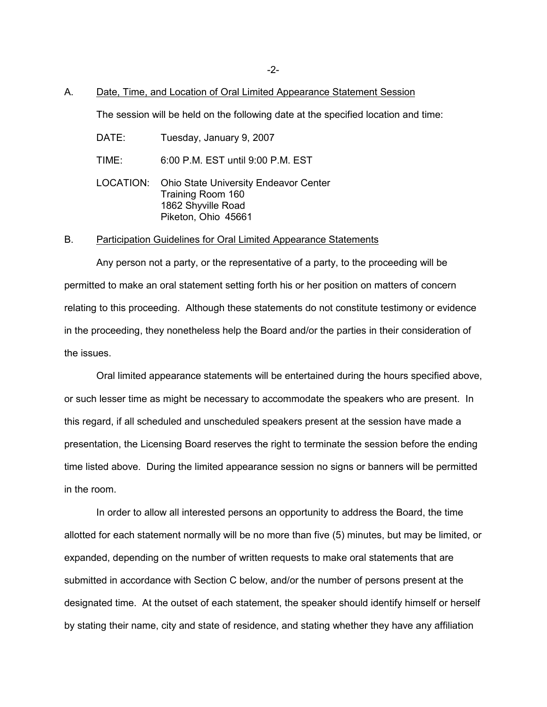-2-

#### A. Date, Time, and Location of Oral Limited Appearance Statement Session

The session will be held on the following date at the specified location and time:

DATE: Tuesday, January 9, 2007

TIME: 6:00 P.M. EST until 9:00 P.M. EST

LOCATION: Ohio State University Endeavor Center Training Room 160 1862 Shyville Road Piketon, Ohio 45661

#### B. Participation Guidelines for Oral Limited Appearance Statements

Any person not a party, or the representative of a party, to the proceeding will be permitted to make an oral statement setting forth his or her position on matters of concern relating to this proceeding. Although these statements do not constitute testimony or evidence in the proceeding, they nonetheless help the Board and/or the parties in their consideration of the issues.

Oral limited appearance statements will be entertained during the hours specified above, or such lesser time as might be necessary to accommodate the speakers who are present. In this regard, if all scheduled and unscheduled speakers present at the session have made a presentation, the Licensing Board reserves the right to terminate the session before the ending time listed above. During the limited appearance session no signs or banners will be permitted in the room.

In order to allow all interested persons an opportunity to address the Board, the time allotted for each statement normally will be no more than five (5) minutes, but may be limited, or expanded, depending on the number of written requests to make oral statements that are submitted in accordance with Section C below, and/or the number of persons present at the designated time. At the outset of each statement, the speaker should identify himself or herself by stating their name, city and state of residence, and stating whether they have any affiliation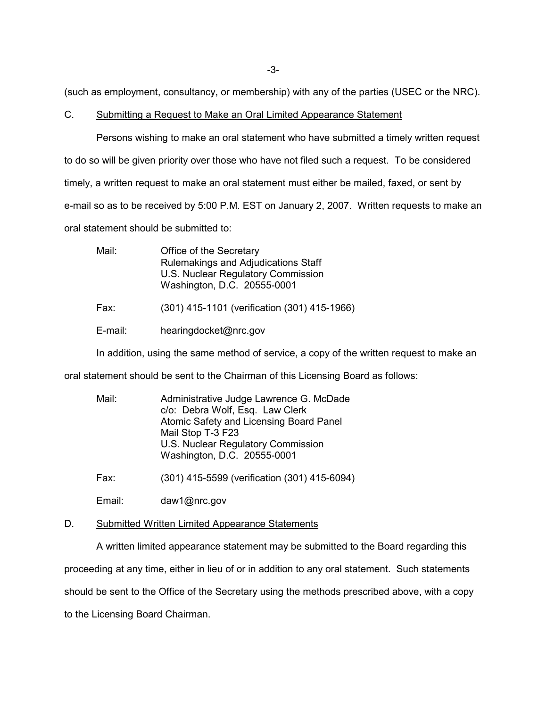-3-

(such as employment, consultancy, or membership) with any of the parties (USEC or the NRC).

## C. Submitting a Request to Make an Oral Limited Appearance Statement

Persons wishing to make an oral statement who have submitted a timely written request to do so will be given priority over those who have not filed such a request. To be considered timely, a written request to make an oral statement must either be mailed, faxed, or sent by e-mail so as to be received by 5:00 P.M. EST on January 2, 2007. Written requests to make an oral statement should be submitted to:

| Mail:   | Office of the Secretary<br>Rulemakings and Adjudications Staff<br>U.S. Nuclear Regulatory Commission<br>Washington, D.C. 20555-0001 |
|---------|-------------------------------------------------------------------------------------------------------------------------------------|
| Fax:    | (301) 415-1101 (verification (301) 415-1966)                                                                                        |
| E-mail: | hearingdocket@nrc.gov                                                                                                               |

In addition, using the same method of service, a copy of the written request to make an

oral statement should be sent to the Chairman of this Licensing Board as follows:

| Mail: | Administrative Judge Lawrence G. McDade |
|-------|-----------------------------------------|
|       | c/o: Debra Wolf, Esq. Law Clerk         |
|       | Atomic Safety and Licensing Board Panel |
|       | Mail Stop T-3 F23                       |
|       | U.S. Nuclear Regulatory Commission      |
|       | Washington, D.C. 20555-0001             |
|       |                                         |

Fax: (301) 415-5599 (verification (301) 415-6094)

Email: daw1@nrc.gov

D. Submitted Written Limited Appearance Statements

A written limited appearance statement may be submitted to the Board regarding this

proceeding at any time, either in lieu of or in addition to any oral statement. Such statements

should be sent to the Office of the Secretary using the methods prescribed above, with a copy

to the Licensing Board Chairman.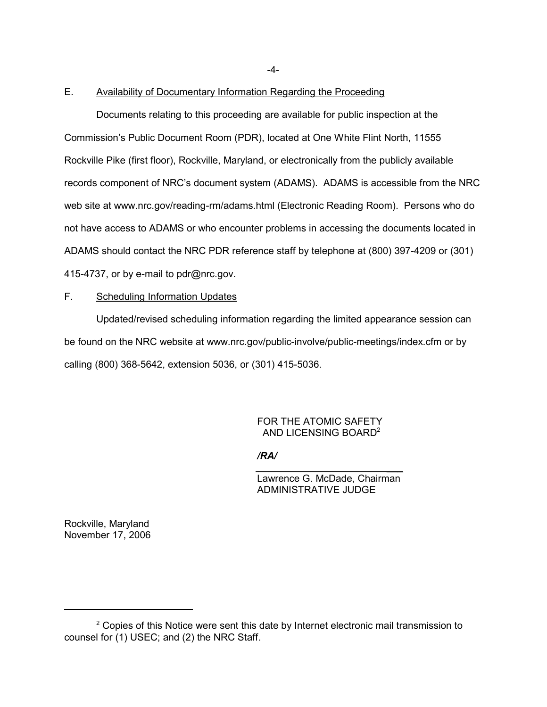-4-

### E. Availability of Documentary Information Regarding the Proceeding

Documents relating to this proceeding are available for public inspection at the Commission's Public Document Room (PDR), located at One White Flint North, 11555 Rockville Pike (first floor), Rockville, Maryland, or electronically from the publicly available records component of NRC's document system (ADAMS). ADAMS is accessible from the NRC web site at www.nrc.gov/reading-rm/adams.html (Electronic Reading Room). Persons who do not have access to ADAMS or who encounter problems in accessing the documents located in ADAMS should contact the NRC PDR reference staff by telephone at (800) 397-4209 or (301) 415-4737, or by e-mail to pdr@nrc.gov.

# F. Scheduling Information Updates

Updated/revised scheduling information regarding the limited appearance session can be found on the NRC website at www.nrc.gov/public-involve/public-meetings/index.cfm or by calling (800) 368-5642, extension 5036, or (301) 415-5036.

### FOR THE ATOMIC SAFETY AND LICENSING BOARD2

 $\mathcal{L}=\mathcal{L}=\mathcal{L}=\mathcal{L}=\mathcal{L}=\mathcal{L}=\mathcal{L}=\mathcal{L}=\mathcal{L}=\mathcal{L}=\mathcal{L}=\mathcal{L}=\mathcal{L}=\mathcal{L}=\mathcal{L}=\mathcal{L}=\mathcal{L}=\mathcal{L}=\mathcal{L}=\mathcal{L}=\mathcal{L}=\mathcal{L}=\mathcal{L}=\mathcal{L}=\mathcal{L}=\mathcal{L}=\mathcal{L}=\mathcal{L}=\mathcal{L}=\mathcal{L}=\mathcal{L}=\mathcal{L}=\mathcal{L}=\mathcal{L}=\mathcal{L}=\mathcal{L}=\mathcal{$ 

*/RA/*

Lawrence G. McDade, Chairman ADMINISTRATIVE JUDGE

Rockville, Maryland November 17, 2006

 $2$  Copies of this Notice were sent this date by Internet electronic mail transmission to counsel for (1) USEC; and (2) the NRC Staff.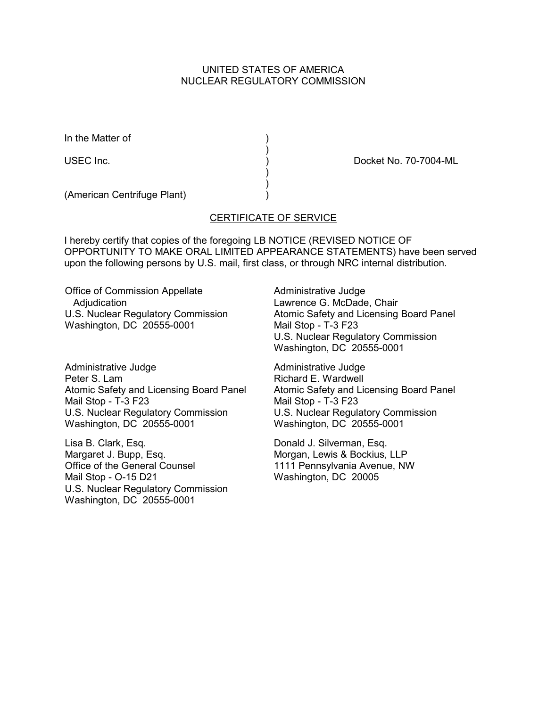# UNITED STATES OF AMERICA NUCLEAR REGULATORY COMMISSION

In the Matter of (1)

USEC Inc.  $\qquad \qquad$  ) Docket No. 70-7004-ML

(American Centrifuge Plant) )

# CERTIFICATE OF SERVICE

)

 ) )

I hereby certify that copies of the foregoing LB NOTICE (REVISED NOTICE OF OPPORTUNITY TO MAKE ORAL LIMITED APPEARANCE STATEMENTS) have been served upon the following persons by U.S. mail, first class, or through NRC internal distribution.

Office of Commission Appellate Adjudication U.S. Nuclear Regulatory Commission Washington, DC 20555-0001

Administrative Judge Peter S. Lam Atomic Safety and Licensing Board Panel Mail Stop - T-3 F23 U.S. Nuclear Regulatory Commission Washington, DC 20555-0001

Lisa B. Clark, Esq. Margaret J. Bupp, Esq. Office of the General Counsel Mail Stop - O-15 D21 U.S. Nuclear Regulatory Commission Washington, DC 20555-0001

Administrative Judge Lawrence G. McDade, Chair Atomic Safety and Licensing Board Panel Mail Stop - T-3 F23 U.S. Nuclear Regulatory Commission Washington, DC 20555-0001

Administrative Judge Richard E. Wardwell Atomic Safety and Licensing Board Panel Mail Stop - T-3 F23 U.S. Nuclear Regulatory Commission Washington, DC 20555-0001

Donald J. Silverman, Esq. Morgan, Lewis & Bockius, LLP 1111 Pennsylvania Avenue, NW Washington, DC 20005